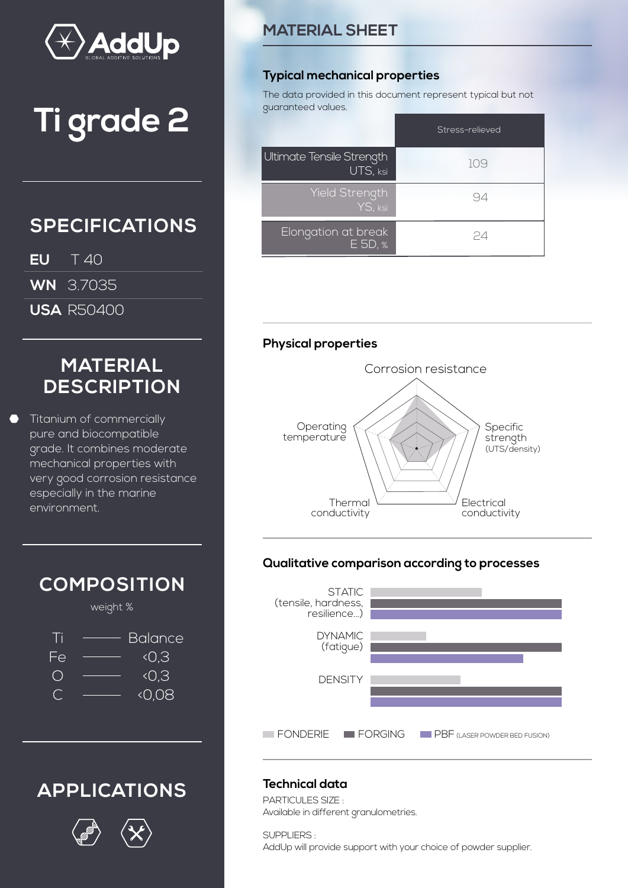

# **Ti grade 2**

# **SPECIFICATIONS**

- **EU** T 40
- **WN** 3.7035
- **USA** R50400

# **MATERIAL DESCRIPTION**

Titanium of commercially pure and biocompatible grade. It combines moderate mechanical properties with very good corrosion resistance especially in the marine environment.



# **APPLICATIONS**



### **MATERIAL SHEET**

#### **Typical mechanical properties**

The data provided in this document represent typical but not guaranteed values.

|                                       | Stress-relieved |
|---------------------------------------|-----------------|
| Ultimate Tensile Strength<br>UTS, ksi | 109             |
| Yield Strength<br>YS, ksi             | 94              |
| Elongation at break<br>E 5D, %        | 24              |

#### **Physical properties**



#### **Qualitative comparison according to processes**



### **Technical data**

PARTICULES SIZE : Available in different granulometries.

SUPPLIERS : AddUp will provide support with your choice of powder supplier.